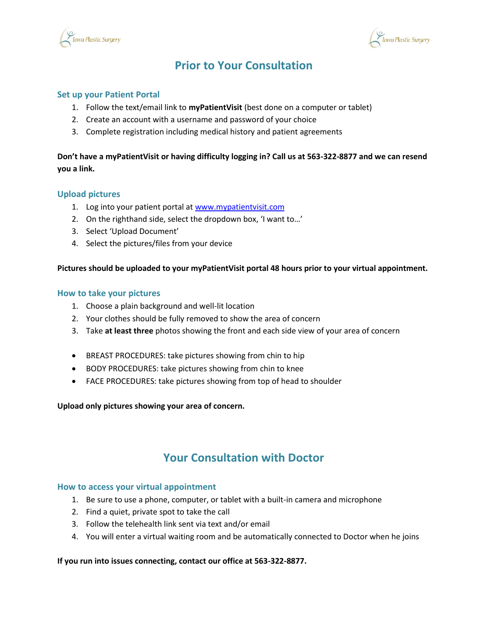



# **Prior to Your Consultation**

### **Set up your Patient Portal**

- 1. Follow the text/email link to **myPatientVisit** (best done on a computer or tablet)
- 2. Create an account with a username and password of your choice
- 3. Complete registration including medical history and patient agreements

### **Don't have a myPatientVisit or having difficulty logging in? Call us at 563-322-8877 and we can resend you a link.**

#### **Upload pictures**

- 1. Log into your patient portal a[t www.mypatientvisit.com](http://www.mypatientvisit.com/)
- 2. On the righthand side, select the dropdown box, 'I want to…'
- 3. Select 'Upload Document'
- 4. Select the pictures/files from your device

#### **Pictures should be uploaded to your myPatientVisit portal 48 hours prior to your virtual appointment.**

#### **How to take your pictures**

- 1. Choose a plain background and well-lit location
- 2. Your clothes should be fully removed to show the area of concern
- 3. Take **at least three** photos showing the front and each side view of your area of concern
- BREAST PROCEDURES: take pictures showing from chin to hip
- BODY PROCEDURES: take pictures showing from chin to knee
- FACE PROCEDURES: take pictures showing from top of head to shoulder

#### **Upload only pictures showing your area of concern.**

### **Your Consultation with Doctor**

#### **How to access your virtual appointment**

- 1. Be sure to use a phone, computer, or tablet with a built-in camera and microphone
- 2. Find a quiet, private spot to take the call
- 3. Follow the telehealth link sent via text and/or email
- 4. You will enter a virtual waiting room and be automatically connected to Doctor when he joins

#### **If you run into issues connecting, contact our office at 563-322-8877.**